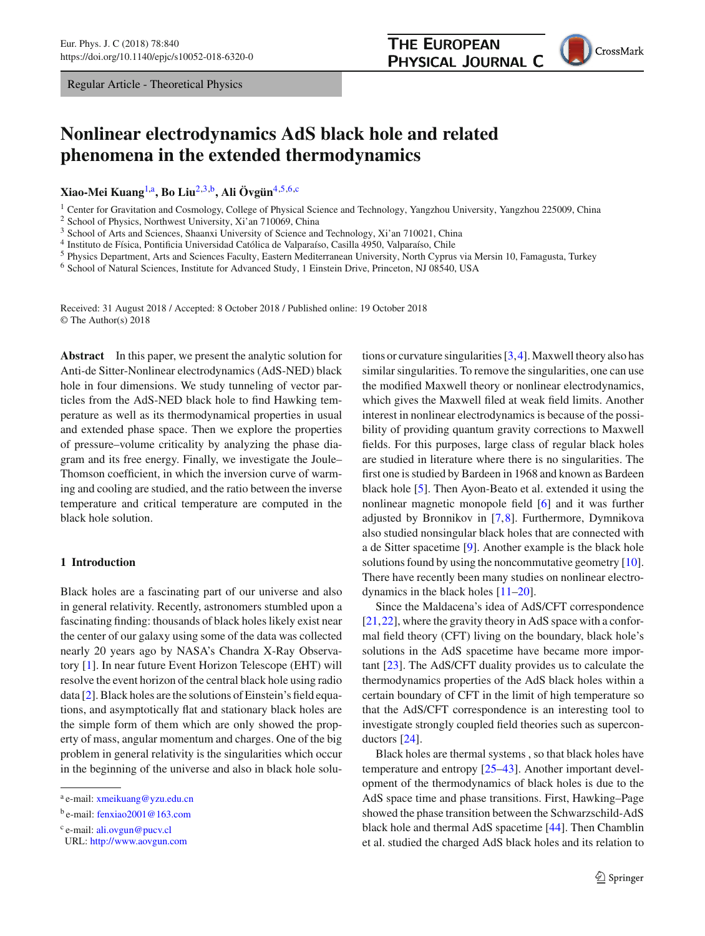Regular Article - Theoretical Physics

# **Nonlinear electrodynamics AdS black hole and related phenomena in the extended thermodynamics**

**Xiao-Mei Kuang**[1,](#page-0-0)a**, Bo Liu**[2](#page-0-0)[,3,](#page-0-1)b**, Ali Övgün**[4](#page-0-2)[,5](#page-0-3)[,6,](#page-0-4)c

<sup>1</sup> Center for Gravitation and Cosmology, College of Physical Science and Technology, Yangzhou University, Yangzhou 225009, China

<sup>2</sup> School of Physics, Northwest University, Xi'an 710069, China

<sup>3</sup> School of Arts and Sciences, Shaanxi University of Science and Technology, Xi'an 710021, China

<sup>4</sup> Instituto de Física, Pontificia Universidad Católica de Valparaíso, Casilla 4950, Valparaíso, Chile

<sup>5</sup> Physics Department, Arts and Sciences Faculty, Eastern Mediterranean University, North Cyprus via Mersin 10, Famagusta, Turkey

<sup>6</sup> School of Natural Sciences, Institute for Advanced Study, 1 Einstein Drive, Princeton, NJ 08540, USA

Received: 31 August 2018 / Accepted: 8 October 2018 / Published online: 19 October 2018 © The Author(s) 2018

**Abstract** In this paper, we present the analytic solution for Anti-de Sitter-Nonlinear electrodynamics (AdS-NED) black hole in four dimensions. We study tunneling of vector particles from the AdS-NED black hole to find Hawking temperature as well as its thermodynamical properties in usual and extended phase space. Then we explore the properties of pressure–volume criticality by analyzing the phase diagram and its free energy. Finally, we investigate the Joule– Thomson coefficient, in which the inversion curve of warming and cooling are studied, and the ratio between the inverse temperature and critical temperature are computed in the black hole solution.

# **1 Introduction**

Black holes are a fascinating part of our universe and also in general relativity. Recently, astronomers stumbled upon a fascinating finding: thousands of black holes likely exist near the center of our galaxy using some of the data was collected nearly 20 years ago by NASA's Chandra X-Ray Observatory [\[1\]](#page-8-0). In near future Event Horizon Telescope (EHT) will resolve the event horizon of the central black hole using radio data [\[2](#page-8-1)]. Black holes are the solutions of Einstein's field equations, and asymptotically flat and stationary black holes are the simple form of them which are only showed the property of mass, angular momentum and charges. One of the big problem in general relativity is the singularities which occur in the beginning of the universe and also in black hole solu<span id="page-0-4"></span><span id="page-0-3"></span><span id="page-0-2"></span><span id="page-0-1"></span>tions or curvature singularities [\[3](#page-8-2)[,4](#page-8-3)]. Maxwell theory also has similar singularities. To remove the singularities, one can use the modified Maxwell theory or nonlinear electrodynamics, which gives the Maxwell filed at weak field limits. Another interest in nonlinear electrodynamics is because of the possibility of providing quantum gravity corrections to Maxwell fields. For this purposes, large class of regular black holes are studied in literature where there is no singularities. The first one is studied by Bardeen in 1968 and known as Bardeen black hole [\[5](#page-8-4)]. Then Ayon-Beato et al. extended it using the nonlinear magnetic monopole field [\[6](#page-8-5)] and it was further adjusted by Bronnikov in [\[7](#page-8-6),[8\]](#page-8-7). Furthermore, Dymnikova also studied nonsingular black holes that are connected with a de Sitter spacetime [\[9\]](#page-8-8). Another example is the black hole solutions found by using the noncommutative geometry [\[10](#page-8-9)]. There have recently been many studies on nonlinear electrodynamics in the black holes [\[11](#page-8-10)[–20\]](#page-8-11).

**THE EUROPEAN** 

<span id="page-0-0"></span>PHYSICAL JOURNAL C

Since the Maldacena's idea of AdS/CFT correspondence [\[21](#page-8-12),[22\]](#page-8-13), where the gravity theory in AdS space with a conformal field theory (CFT) living on the boundary, black hole's solutions in the AdS spacetime have became more important [\[23](#page-8-14)]. The AdS/CFT duality provides us to calculate the thermodynamics properties of the AdS black holes within a certain boundary of CFT in the limit of high temperature so that the AdS/CFT correspondence is an interesting tool to investigate strongly coupled field theories such as superconductors [\[24](#page-8-15)].

Black holes are thermal systems , so that black holes have temperature and entropy [\[25](#page-8-16)[–43\]](#page-9-0). Another important development of the thermodynamics of black holes is due to the AdS space time and phase transitions. First, Hawking–Page showed the phase transition between the Schwarzschild-AdS black hole and thermal AdS spacetime [\[44](#page-9-1)]. Then Chamblin et al. studied the charged AdS black holes and its relation to

<sup>a</sup> e-mail: [xmeikuang@yzu.edu.cn](mailto:xmeikuang@yzu.edu.cn)

<sup>b</sup> e-mail: [fenxiao2001@163.com](mailto:fenxiao2001@163.com)

<sup>c</sup> e-mail: [ali.ovgun@pucv.cl](mailto:ali.ovgun@pucv.cl)

URL: <http://www.aovgun.com>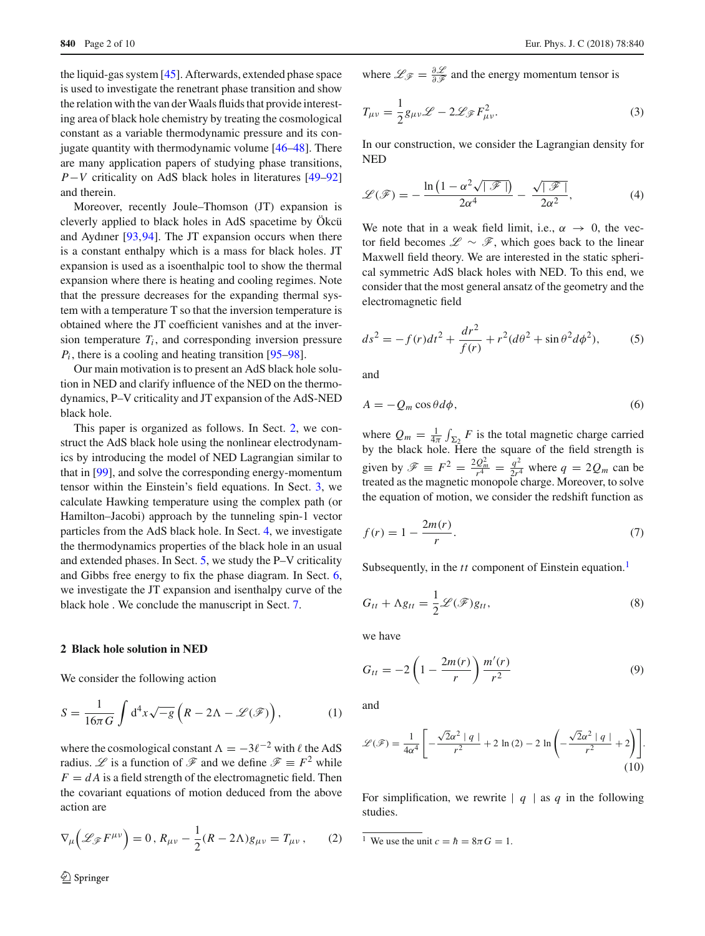the liquid-gas system [\[45\]](#page-9-2). Afterwards, extended phase space is used to investigate the renetrant phase transition and show the relation with the van der Waals fluids that provide interesting area of black hole chemistry by treating the cosmological constant as a variable thermodynamic pressure and its conjugate quantity with thermodynamic volume [\[46](#page-9-3)[–48\]](#page-9-4). There are many application papers of studying phase transitions, *P*−*V* criticality on AdS black holes in literatures [\[49](#page-9-5)[–92\]](#page-9-6) and therein.

Moreover, recently Joule–Thomson (JT) expansion is cleverly applied to black holes in AdS spacetime by Ökcü and Aydıner [\[93](#page-9-7)[,94](#page-9-8)]. The JT expansion occurs when there is a constant enthalpy which is a mass for black holes. JT expansion is used as a isoenthalpic tool to show the thermal expansion where there is heating and cooling regimes. Note that the pressure decreases for the expanding thermal system with a temperature T so that the inversion temperature is obtained where the JT coefficient vanishes and at the inversion temperature  $T_i$ , and corresponding inversion pressure  $P_i$ , there is a cooling and heating transition [\[95](#page-9-9)[–98](#page-9-10)].

Our main motivation is to present an AdS black hole solution in NED and clarify influence of the NED on the thermodynamics, P–V criticality and JT expansion of the AdS-NED black hole.

This paper is organized as follows. In Sect. [2,](#page-1-0) we construct the AdS black hole using the nonlinear electrodynamics by introducing the model of NED Lagrangian similar to that in [\[99\]](#page-9-11), and solve the corresponding energy-momentum tensor within the Einstein's field equations. In Sect. [3,](#page-2-0) we calculate Hawking temperature using the complex path (or Hamilton–Jacobi) approach by the tunneling spin-1 vector particles from the AdS black hole. In Sect. [4,](#page-3-0) we investigate the thermodynamics properties of the black hole in an usual and extended phases. In Sect. [5,](#page-4-0) we study the P–V criticality and Gibbs free energy to fix the phase diagram. In Sect. [6,](#page-6-0) we investigate the JT expansion and isenthalpy curve of the black hole . We conclude the manuscript in Sect. [7.](#page-7-0)

# <span id="page-1-0"></span>**2 Black hole solution in NED**

We consider the following action

$$
S = \frac{1}{16\pi G} \int d^4x \sqrt{-g} \left( R - 2\Lambda - \mathcal{L}(\mathcal{F}) \right), \tag{1}
$$

where the cosmological constant  $\Lambda = -3\ell^{-2}$  with  $\ell$  the AdS radius. *L* is a function of  $\mathscr F$  and we define  $\mathscr F \equiv F^2$  while  $F = dA$  is a field strength of the electromagnetic field. Then the covariant equations of motion deduced from the above action are

$$
\nabla_{\mu}\left(\mathcal{L}_{\mathscr{F}}F^{\mu\nu}\right) = 0, R_{\mu\nu} - \frac{1}{2}(R - 2\Lambda)g_{\mu\nu} = T_{\mu\nu},\qquad(2)
$$

where  $\mathcal{L}_{\mathcal{F}} = \frac{\partial \mathcal{L}}{\partial \mathcal{F}}$  and the energy momentum tensor is

$$
T_{\mu\nu} = \frac{1}{2} g_{\mu\nu} \mathcal{L} - 2 \mathcal{L}_{\mathcal{F}} F_{\mu\nu}^2.
$$
 (3)

In our construction, we consider the Lagrangian density for NED

$$
\mathcal{L}(\mathcal{F}) = -\frac{\ln\left(1 - \alpha^2 \sqrt{|\mathcal{F}|}\right)}{2\alpha^4} - \frac{\sqrt{|\mathcal{F}|}}{2\alpha^2},\tag{4}
$$

We note that in a weak field limit, i.e.,  $\alpha \rightarrow 0$ , the vector field becomes *L* ∼ *F*, which goes back to the linear Maxwell field theory. We are interested in the static spherical symmetric AdS black holes with NED. To this end, we consider that the most general ansatz of the geometry and the electromagnetic field

$$
ds^{2} = -f(r)dt^{2} + \frac{dr^{2}}{f(r)} + r^{2}(d\theta^{2} + \sin\theta^{2}d\phi^{2}),
$$
 (5)

and

$$
A = -Q_m \cos \theta d\phi, \tag{6}
$$

where  $Q_m = \frac{1}{4\pi} \int_{\Sigma_2} F$  is the total magnetic charge carried by the black hole. Here the square of the field strength is given by  $\mathscr{F} \equiv F^2 = \frac{2Q_m^2}{r^4} = \frac{q^2}{2r^4}$  where  $q = 2Q_m$  can be treated as the magnetic monopole charge. Moreover, to solve the equation of motion, we consider the redshift function as

<span id="page-1-5"></span>
$$
f(r) = 1 - \frac{2m(r)}{r}.
$$
 (7)

<span id="page-1-4"></span>Subsequently, in the *tt* component of Einstein equation.<sup>1</sup>

$$
G_{tt} + \Lambda g_{tt} = \frac{1}{2} \mathcal{L}(\mathcal{F}) g_{tt},
$$
\n(8)

<span id="page-1-2"></span>we have

$$
G_{tt} = -2\left(1 - \frac{2m(r)}{r}\right) \frac{m'(r)}{r^2}
$$
 (9)

<span id="page-1-3"></span>and

$$
\mathcal{L}(\mathscr{F}) = \frac{1}{4\alpha^4} \left[ -\frac{\sqrt{2}\alpha^2 |q|}{r^2} + 2 \ln(2) - 2 \ln\left(-\frac{\sqrt{2}\alpha^2 |q|}{r^2} + 2\right) \right].
$$
\n(10)

For simplification, we rewrite  $|q|$  as *q* in the following studies.

<span id="page-1-1"></span><sup>1</sup> We use the unit  $c = \hbar = 8\pi G = 1$ .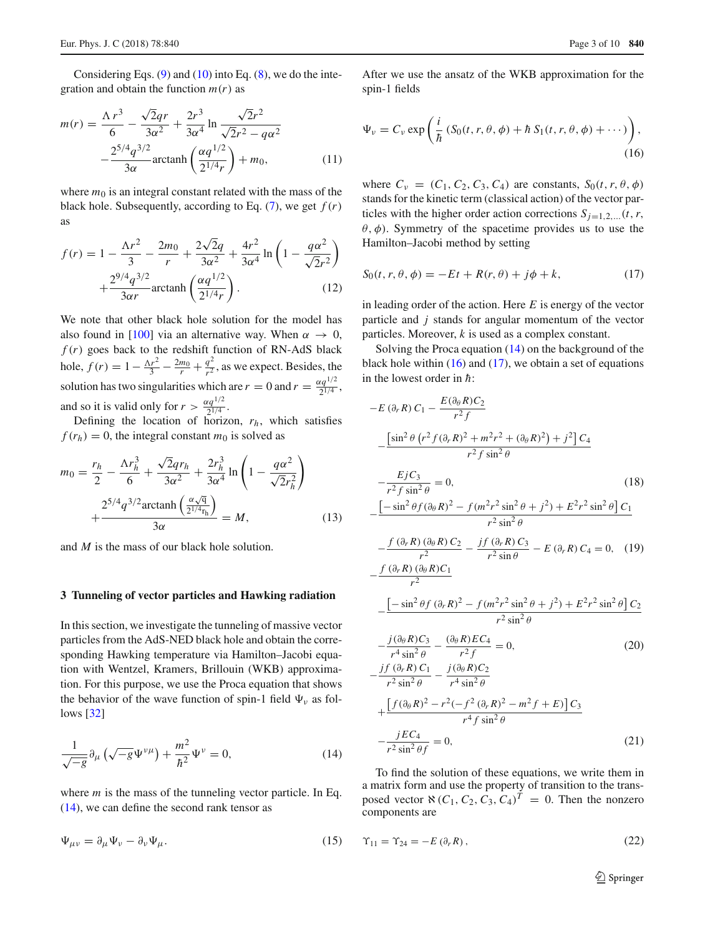Considering Eqs.  $(9)$  and  $(10)$  into Eq.  $(8)$ , we do the integration and obtain the function  $m(r)$  as

$$
m(r) = \frac{\Lambda r^3}{6} - \frac{\sqrt{2}qr}{3\alpha^2} + \frac{2r^3}{3\alpha^4} \ln \frac{\sqrt{2}r^2}{\sqrt{2}r^2 - q\alpha^2} -\frac{2^{5/4}q^{3/2}}{3\alpha} \arctanh\left(\frac{\alpha q^{1/2}}{2^{1/4}r}\right) + m_0,
$$
 (11)

where  $m_0$  is an integral constant related with the mass of the black hole. Subsequently, according to Eq.  $(7)$ , we get  $f(r)$ as

$$
f(r) = 1 - \frac{\Lambda r^2}{3} - \frac{2m_0}{r} + \frac{2\sqrt{2}q}{3\alpha^2} + \frac{4r^2}{3\alpha^4} \ln\left(1 - \frac{q\alpha^2}{\sqrt{2}r^2}\right) + \frac{2^{9/4}q^{3/2}}{3\alpha r} \arctanh\left(\frac{\alpha q^{1/2}}{2^{1/4}r}\right).
$$
 (12)

We note that other black hole solution for the model has also found in [\[100\]](#page-9-12) via an alternative way. When  $\alpha \to 0$ ,  $f(r)$  goes back to the redshift function of RN-AdS black hole,  $f(r) = 1 - \frac{\Delta r^2}{3} - \frac{2m_0}{r} + \frac{q^2}{r^2}$ , as we expect. Besides, the solution has two singularities which are  $r = 0$  and  $r = \frac{\alpha q^{1/2}}{2^{1/4}}$ , and so it is valid only for  $r > \frac{\alpha q^{1/2}}{2^{1/4}}$ .

Defining the location of horizon, *rh*, which satisfies  $f(r_h) = 0$ , the integral constant  $m_0$  is solved as

$$
m_0 = \frac{r_h}{2} - \frac{\Lambda r_h^3}{6} + \frac{\sqrt{2}qr_h}{3\alpha^2} + \frac{2r_h^3}{3\alpha^4} \ln\left(1 - \frac{q\alpha^2}{\sqrt{2}r_h^2}\right) + \frac{2^{5/4}q^{3/2}\arctanh\left(\frac{\alpha\sqrt{q}}{2^{1/4}r_h}\right)}{3\alpha} = M,
$$
 (13)

and *M* is the mass of our black hole solution.

#### <span id="page-2-0"></span>**3 Tunneling of vector particles and Hawking radiation**

In this section, we investigate the tunneling of massive vector particles from the AdS-NED black hole and obtain the corresponding Hawking temperature via Hamilton–Jacobi equation with Wentzel, Kramers, Brillouin (WKB) approximation. For this purpose, we use the Proca equation that shows the behavior of the wave function of spin-1 field  $\Psi_{\nu}$  as follows [\[32](#page-9-13)]

<span id="page-2-1"></span>
$$
\frac{1}{\sqrt{-g}}\partial_{\mu}\left(\sqrt{-g}\Psi^{\nu\mu}\right) + \frac{m^2}{\hbar^2}\Psi^{\nu} = 0, \tag{14}
$$

where *m* is the mass of the tunneling vector particle. In Eq. [\(14\)](#page-2-1), we can define the second rank tensor as

$$
\Psi_{\mu\nu} = \partial_{\mu}\Psi_{\nu} - \partial_{\nu}\Psi_{\mu}.
$$
\n(15)

<span id="page-2-2"></span>After we use the ansatz of the WKB approximation for the spin-1 fields

$$
\Psi_{\nu} = C_{\nu} \exp\left(\frac{i}{\hbar} \left(S_0(t, r, \theta, \phi) + \hbar S_1(t, r, \theta, \phi) + \cdots\right)\right),\tag{16}
$$

where  $C_v = (C_1, C_2, C_3, C_4)$  are constants,  $S_0(t, r, \theta, \phi)$ stands for the kinetic term (classical action) of the vector particles with the higher order action corrections  $S_{i=1,2,\dots}(t, r,$  $\theta$ ,  $\phi$ ). Symmetry of the spacetime provides us to use the Hamilton–Jacobi method by setting

<span id="page-2-3"></span>
$$
S_0(t, r, \theta, \phi) = -Et + R(r, \theta) + j\phi + k,\tag{17}
$$

in leading order of the action. Here *E* is energy of the vector particle and *j* stands for angular momentum of the vector particles. Moreover, *k* is used as a complex constant.

Solving the Proca equation [\(14\)](#page-2-1) on the background of the black hole within  $(16)$  and  $(17)$ , we obtain a set of equations in the lowest order in  $\hbar$ :

$$
-E(\partial_r R) C_1 - \frac{E(\partial_\theta R)C_2}{r^2 f}
$$
  
\n
$$
-\frac{\left[\sin^2\theta (r^2 f(\partial_r R)^2 + m^2 r^2 + (\partial_\theta R)^2) + j^2\right]C_4}{r^2 f \sin^2\theta}
$$
  
\n
$$
-\frac{EjC_3}{r^2 f \sin^2\theta} = 0,
$$
\n(18)  
\n
$$
-\frac{\left[-\sin^2\theta f(\partial_\theta R)^2 - f(m^2 r^2 \sin^2\theta + j^2) + E^2 r^2 \sin^2\theta\right]C_1}{r^2 \sin^2\theta}
$$
  
\n
$$
-\frac{f(\partial_r R)(\partial_\theta R)C_2}{r^2} - \frac{j f(\partial_r R) C_3}{r^2 \sin\theta} - E(\partial_r R) C_4 = 0,
$$
\n(19)  
\n
$$
-\frac{f(\partial_r R)(\partial_\theta R)C_1}{r^2}
$$

$$
-\frac{\left[-\sin^2\theta f \left(\partial_r R\right)^2 - f (m^2 r^2 \sin^2\theta + j^2) + E^2 r^2 \sin^2\theta\right] C_2}{r^2 \sin^2\theta}
$$

$$
-\frac{j(\partial_{\theta}R)C_3}{r^4\sin^2\theta} - \frac{(\partial_{\theta}R)EC_4}{r^2f} = 0,
$$
\n(20)

$$
-\frac{jf(\partial_r R)C_1}{r^2 \sin^2 \theta} - \frac{j(\partial_\theta R)C_2}{r^4 \sin^2 \theta} + \frac{[f(\partial_\theta R)^2 - r^2(-f^2(\partial_r R)^2 - m^2 f + E)]C_3}{r^4 f \sin^2 \theta} - \frac{jEC_4}{r^2 \sin^2 \theta f} = 0,
$$
\n(21)

To find the solution of these equations, we write them in a matrix form and use the property of transition to the transposed vector  $\aleph$  (*C*<sub>1</sub>, *C*<sub>2</sub>, *C*<sub>3</sub>, *C*<sub>4</sub>)<sup>*T*</sup> = 0. Then the nonzero components are

$$
\Upsilon_{11} = \Upsilon_{24} = -E\left(\partial_r R\right),\tag{22}
$$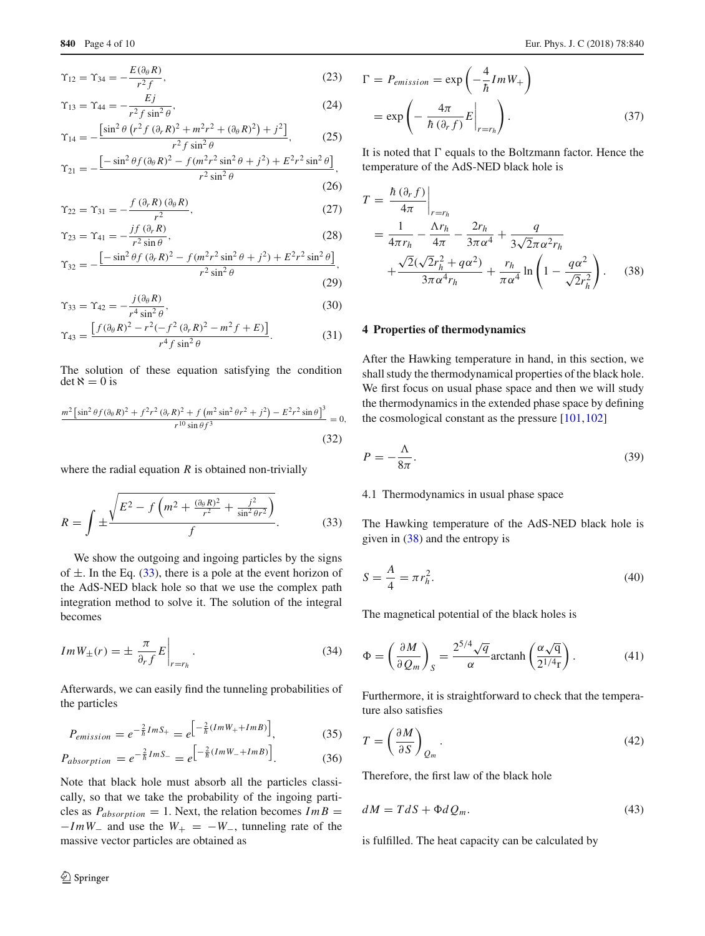$$
\Upsilon_{12} = \Upsilon_{34} = -\frac{E(\partial_{\theta} R)}{r^2 f},\tag{23}
$$

$$
\Upsilon_{13} = \Upsilon_{44} = -\frac{Ej}{r^2 f \sin^2 \theta},\tag{24}
$$

$$
\Upsilon_{14} = -\frac{\left[\sin^2\theta \left(r^2 f \left(\partial_r R\right)^2 + m^2 r^2 + \left(\partial_\theta R\right)^2\right) + j^2\right]}{r^2 f \sin^2\theta},\tag{25}
$$

$$
\Upsilon_{21} = -\frac{\left[ -\sin^2\theta f (\partial_\theta R)^2 - f (m^2 r^2 \sin^2\theta + j^2) + E^2 r^2 \sin^2\theta \right]}{r^2 \sin^2\theta},\tag{26}
$$

$$
\Upsilon_{22} = \Upsilon_{31} = -\frac{f(\partial_r R)(\partial_\theta R)}{r^2},\tag{27}
$$

$$
\Upsilon_{23} = \Upsilon_{41} = -\frac{if(\partial_r R)}{r^2 \sin \theta},\tag{28}
$$

$$
\Upsilon_{32} = -\frac{\left[-\sin^2\theta f \left(\partial_r R\right)^2 - f (m^2 r^2 \sin^2\theta + j^2) + E^2 r^2 \sin^2\theta\right]}{r^2 \sin^2\theta},\tag{29}
$$

$$
\Upsilon_{33} = \Upsilon_{42} = -\frac{j(\partial_{\theta} R)}{r^4 \sin^2 \theta},\tag{30}
$$

$$
\Upsilon_{43} = \frac{\left[f(\partial_{\theta}R)^{2} - r^{2}(-f^{2}(\partial_{r}R)^{2} - m^{2}f + E)\right]}{r^{4}f\sin^{2}\theta}.
$$
 (31)

The solution of these equation satisfying the condition  $det \aleph = 0$  is

$$
\frac{m^2 \left[\sin^2 \theta f (\partial_{\theta} R)^2 + f^2 r^2 (\partial_r R)^2 + f (m^2 \sin^2 \theta r^2 + j^2) - E^2 r^2 \sin \theta \right]^3}{r^{10} \sin \theta f^3} = 0,
$$
\n(32)

where the radial equation  $R$  is obtained non-trivially

$$
R = \int \pm \frac{\sqrt{E^2 - f\left(m^2 + \frac{(\partial_{\theta}R)^2}{r^2} + \frac{j^2}{\sin^2 \theta r^2}\right)}}{f}.
$$
 (33)

We show the outgoing and ingoing particles by the signs of  $\pm$ . In the Eq. [\(33\)](#page-3-1), there is a pole at the event horizon of the AdS-NED black hole so that we use the complex path integration method to solve it. The solution of the integral becomes

$$
Im W_{\pm}(r) = \pm \left. \frac{\pi}{\partial_r f} E \right|_{r=r_h}.
$$
 (34)

Afterwards, we can easily find the tunneling probabilities of the particles

$$
P_{emission} = e^{-\frac{2}{\hbar}ImS_{+}} = e^{-\frac{2}{\hbar}(ImW_{+} + ImB)}\Big],
$$
 (35)

$$
P_{absorption} = e^{-\frac{2}{\hbar}ImS_{-}} = e^{\left[-\frac{2}{\hbar}(ImW_{-} + ImB)\right]}.
$$
 (36)

Note that black hole must absorb all the particles classically, so that we take the probability of the ingoing particles as  $P_{absorption} = 1$ . Next, the relation becomes  $Im B =$  $-ImW_$  and use the  $W_+ = -W_$ , tunneling rate of the massive vector particles are obtained as

$$
\Gamma = P_{emission} = \exp\left(-\frac{4}{\hbar}Im W_{+}\right)
$$

$$
= \exp\left(-\frac{4\pi}{\hbar(\partial_{r}f)}E\Big|_{r=r_{h}}\right). \tag{37}
$$

It is noted that  $\Gamma$  equals to the Boltzmann factor. Hence the temperature of the AdS-NED black hole is

<span id="page-3-2"></span>
$$
T = \frac{\hbar(\partial_r f)}{4\pi} \Big|_{r=r_h}
$$
  
=  $\frac{1}{4\pi r_h} - \frac{\Delta r_h}{4\pi} - \frac{2r_h}{3\pi \alpha^4} + \frac{q}{3\sqrt{2}\pi \alpha^2 r_h}$   
+  $\frac{\sqrt{2}(\sqrt{2}r_h^2 + q\alpha^2)}{3\pi \alpha^4 r_h} + \frac{r_h}{\pi \alpha^4} \ln\left(1 - \frac{q\alpha^2}{\sqrt{2}r_h^2}\right).$  (38)

## <span id="page-3-0"></span>**4 Properties of thermodynamics**

After the Hawking temperature in hand, in this section, we shall study the thermodynamical properties of the black hole. We first focus on usual phase space and then we will study the thermodynamics in the extended phase space by defining the cosmological constant as the pressure [\[101,](#page-9-14)[102\]](#page-9-15)

<span id="page-3-3"></span><span id="page-3-1"></span>
$$
P = -\frac{\Lambda}{8\pi}.\tag{39}
$$

#### 4.1 Thermodynamics in usual phase space

The Hawking temperature of the AdS-NED black hole is given in  $(38)$  and the entropy is

$$
S = \frac{A}{4} = \pi r_h^2.
$$
 (40)

The magnetical potential of the black holes is

$$
\Phi = \left(\frac{\partial M}{\partial Q_m}\right)_S = \frac{2^{5/4}\sqrt{q}}{\alpha}\arctanh\left(\frac{\alpha\sqrt{q}}{2^{1/4}r}\right). \tag{41}
$$

Furthermore, it is straightforward to check that the temperature also satisfies

$$
T = \left(\frac{\partial M}{\partial S}\right)_{Q_m}.\tag{42}
$$

Therefore, the first law of the black hole

$$
dM = TdS + \Phi dQ_m. \tag{43}
$$

is fulfilled. The heat capacity can be calculated by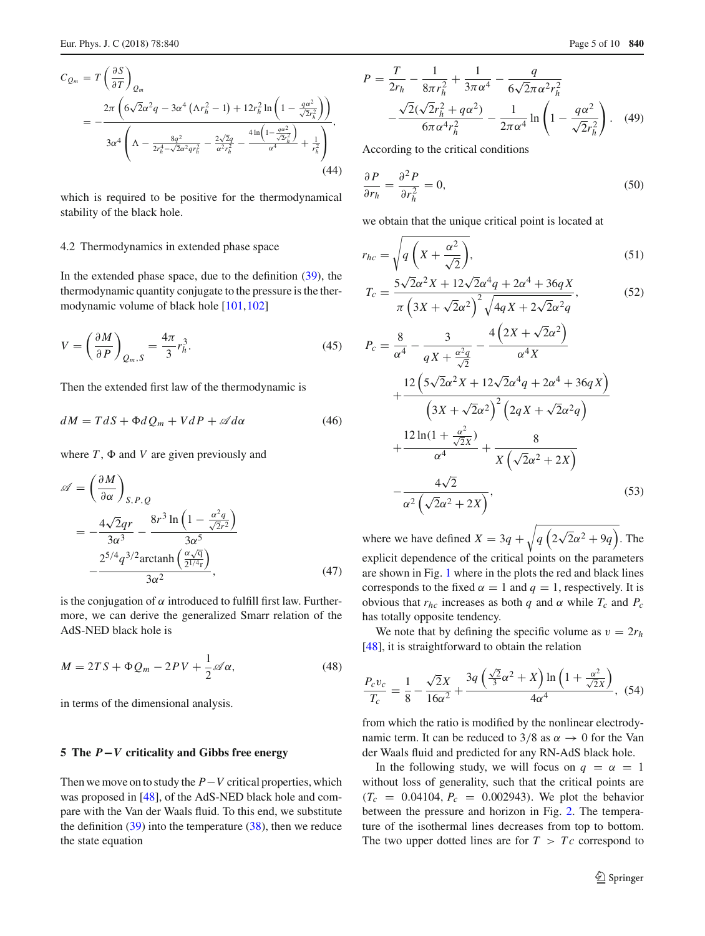$$
C_{Q_m} = T\left(\frac{\partial S}{\partial T}\right)_{Q_m}
$$
  
= 
$$
-\frac{2\pi \left(6\sqrt{2}\alpha^2 q - 3\alpha^4 \left(\Lambda r_h^2 - 1\right) + 12r_h^2 \ln\left(1 - \frac{q\alpha^2}{\sqrt{2}r_h^2}\right)\right)}{3\alpha^4 \left(\Lambda - \frac{8q^2}{2r_h^4 - \sqrt{2}\alpha^2qr_h^2} - \frac{2\sqrt{2}q}{\alpha^2r_h^2} - \frac{4\ln\left(1 - \frac{q\alpha^2}{\sqrt{2}r_h^2}\right)}{\alpha^4} + \frac{1}{r_h^2}\right)},
$$
(44)

which is required to be positive for the thermodynamical stability of the black hole.

#### 4.2 Thermodynamics in extended phase space

In the extended phase space, due to the definition  $(39)$ , the thermodynamic quantity conjugate to the pressure is the thermodynamic volume of black hole [\[101,](#page-9-14)[102\]](#page-9-15)

$$
V = \left(\frac{\partial M}{\partial P}\right)_{Q_m, S} = \frac{4\pi}{3} r_h^3.
$$
\n(45)

Then the extended first law of the thermodynamic is

$$
dM = TdS + \Phi dQ_m + VdP + \mathscr{A}d\alpha \tag{46}
$$

where  $T$ ,  $\Phi$  and  $V$  are given previously and

$$
\mathscr{A} = \left(\frac{\partial M}{\partial \alpha}\right)_{S,P,Q}
$$
  
=  $-\frac{4\sqrt{2}qr}{3\alpha^3} - \frac{8r^3 \ln\left(1 - \frac{\alpha^2 q}{\sqrt{2}r^2}\right)}{3\alpha^5}$   
 $-\frac{2^{5/4}q^{3/2}\arctanh\left(\frac{\alpha\sqrt{q}}{2^{1/4}r}\right)}{3\alpha^2},$  (47)

is the conjugation of  $\alpha$  introduced to fulfill first law. Furthermore, we can derive the generalized Smarr relation of the AdS-NED black hole is

$$
M = 2TS + \Phi Q_m - 2PV + \frac{1}{2} \mathscr{A} \alpha, \qquad (48)
$$

in terms of the dimensional analysis.

#### <span id="page-4-0"></span>**5 The** *P***−***V* **criticality and Gibbs free energy**

Then we move on to study the *P*−*V* critical properties, which was proposed in [\[48](#page-9-4)], of the AdS-NED black hole and compare with the Van der Waals fluid. To this end, we substitute the definition  $(39)$  into the temperature  $(38)$ , then we reduce the state equation

$$
P = \frac{T}{2r_h} - \frac{1}{8\pi r_h^2} + \frac{1}{3\pi \alpha^4} - \frac{q}{6\sqrt{2}\pi \alpha^2 r_h^2}
$$

$$
-\frac{\sqrt{2}(\sqrt{2}r_h^2 + q\alpha^2)}{6\pi \alpha^4 r_h^2} - \frac{1}{2\pi \alpha^4} \ln\left(1 - \frac{q\alpha^2}{\sqrt{2}r_h^2}\right). \quad (49)
$$

According to the critical conditions

$$
\frac{\partial P}{\partial r_h} = \frac{\partial^2 P}{\partial r_h^2} = 0,\tag{50}
$$

we obtain that the unique critical point is located at

$$
r_{hc} = \sqrt{q\left(X + \frac{\alpha^2}{\sqrt{2}}\right)},
$$
\n(51)

$$
T_c = \frac{5\sqrt{2}\alpha^2 X + 12\sqrt{2}\alpha^4 q + 2\alpha^4 + 36qX}{\pi \left(3X + \sqrt{2}\alpha^2\right)^2 \sqrt{4qX + 2\sqrt{2}\alpha^2 q}},
$$
(52)

$$
P_c = \frac{8}{\alpha^4} - \frac{3}{qX + \frac{\alpha^2 q}{\sqrt{2}}} - \frac{4(2X + \sqrt{2}\alpha^2)}{\alpha^4 X} + \frac{12(5\sqrt{2}\alpha^2 X + 12\sqrt{2}\alpha^4 q + 2\alpha^4 + 36qX)}{(3X + \sqrt{2}\alpha^2)^2(2qX + \sqrt{2}\alpha^2 q)} + \frac{12\ln(1 + \frac{\alpha^2}{\sqrt{2}X})}{\alpha^4} + \frac{8}{X(\sqrt{2}\alpha^2 + 2X)} - \frac{4\sqrt{2}}{\alpha^2(\sqrt{2}\alpha^2 + 2X)},
$$
\n(53)

where we have defined  $X = 3q + \sqrt{q(2\sqrt{2}\alpha^2 + 9q)}$ . The explicit dependence of the critical points on the parameters are shown in Fig. [1](#page-5-0) where in the plots the red and black lines corresponds to the fixed  $\alpha = 1$  and  $q = 1$ , respectively. It is obvious that  $r_{hc}$  increases as both *q* and  $\alpha$  while  $T_c$  and  $P_c$ has totally opposite tendency.

We note that by defining the specific volume as  $v = 2r_h$ [\[48](#page-9-4)], it is straightforward to obtain the relation

$$
\frac{P_c v_c}{T_c} = \frac{1}{8} - \frac{\sqrt{2}X}{16\alpha^2} + \frac{3q\left(\frac{\sqrt{2}}{3}\alpha^2 + X\right)\ln\left(1 + \frac{\alpha^2}{\sqrt{2}X}\right)}{4\alpha^4}, \tag{54}
$$

from which the ratio is modified by the nonlinear electrodynamic term. It can be reduced to 3/8 as  $\alpha \rightarrow 0$  for the Van der Waals fluid and predicted for any RN-AdS black hole.

In the following study, we will focus on  $q = \alpha = 1$ without loss of generality, such that the critical points are  $(T_c = 0.04104, P_c = 0.002943)$ . We plot the behavior between the pressure and horizon in Fig. [2.](#page-5-1) The temperature of the isothermal lines decreases from top to bottom. The two upper dotted lines are for  $T > T_c$  correspond to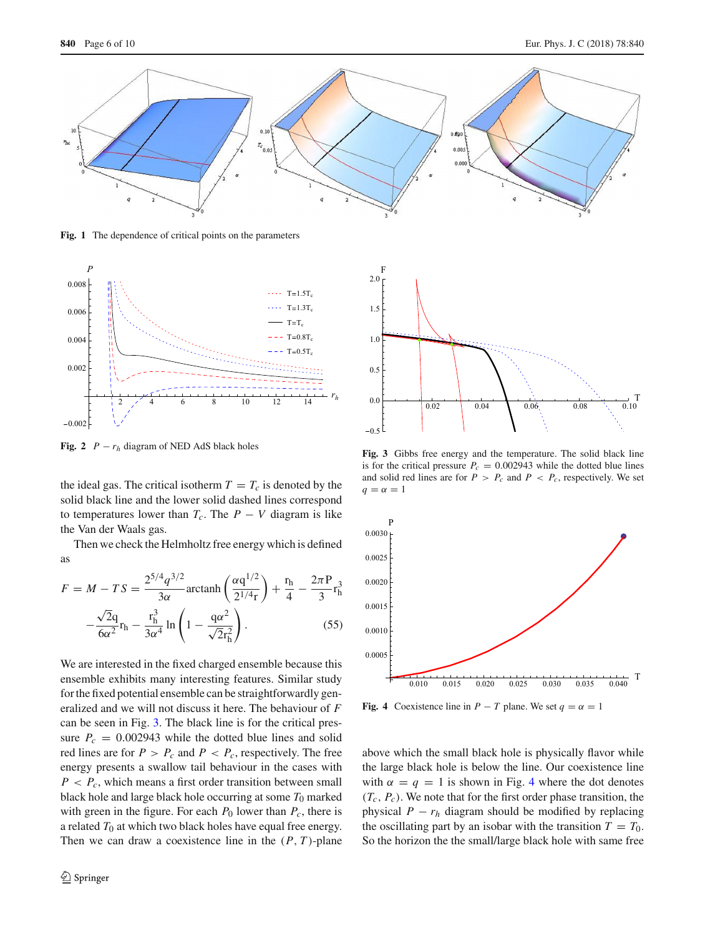

<span id="page-5-0"></span>**Fig. 1** The dependence of critical points on the parameters



<span id="page-5-1"></span>**Fig. 2**  $P - r_h$  diagram of NED AdS black holes

the ideal gas. The critical isotherm  $T = T_c$  is denoted by the solid black line and the lower solid dashed lines correspond to temperatures lower than  $T_c$ . The  $P - V$  diagram is like the Van der Waals gas.

Then we check the Helmholtz free energy which is defined as

$$
F = M - TS = \frac{2^{5/4}q^{3/2}}{3\alpha} \arctanh\left(\frac{\alpha q^{1/2}}{2^{1/4}r}\right) + \frac{r_h}{4} - \frac{2\pi P}{3}r_h^3
$$

$$
-\frac{\sqrt{2}q}{6\alpha^2}r_h - \frac{r_h^3}{3\alpha^4}\ln\left(1 - \frac{q\alpha^2}{\sqrt{2}r_h^2}\right).
$$
 (55)

We are interested in the fixed charged ensemble because this ensemble exhibits many interesting features. Similar study for the fixed potential ensemble can be straightforwardly generalized and we will not discuss it here. The behaviour of *F* can be seen in Fig. [3.](#page-5-2) The black line is for the critical pressure  $P_c = 0.002943$  while the dotted blue lines and solid red lines are for  $P > P_c$  and  $P < P_c$ , respectively. The free energy presents a swallow tail behaviour in the cases with  $P < P_c$ , which means a first order transition between small black hole and large black hole occurring at some  $T_0$  marked with green in the figure. For each  $P_0$  lower than  $P_c$ , there is a related  $T_0$  at which two black holes have equal free energy. Then we can draw a coexistence line in the  $(P, T)$ -plane



<span id="page-5-2"></span>**Fig. 3** Gibbs free energy and the temperature. The solid black line is for the critical pressure  $P_c = 0.002943$  while the dotted blue lines and solid red lines are for  $P > P_c$  and  $P < P_c$ , respectively. We set  $q = \alpha = 1$ 



<span id="page-5-3"></span>**Fig. 4** Coexistence line in *P* − *T* plane. We set  $q = \alpha = 1$ 

above which the small black hole is physically flavor while the large black hole is below the line. Our coexistence line with  $\alpha = q = 1$  is shown in Fig. [4](#page-5-3) where the dot denotes  $(T_c, P_c)$ . We note that for the first order phase transition, the physical  $P - r_h$  diagram should be modified by replacing the oscillating part by an isobar with the transition  $T = T_0$ . So the horizon the the small/large black hole with same free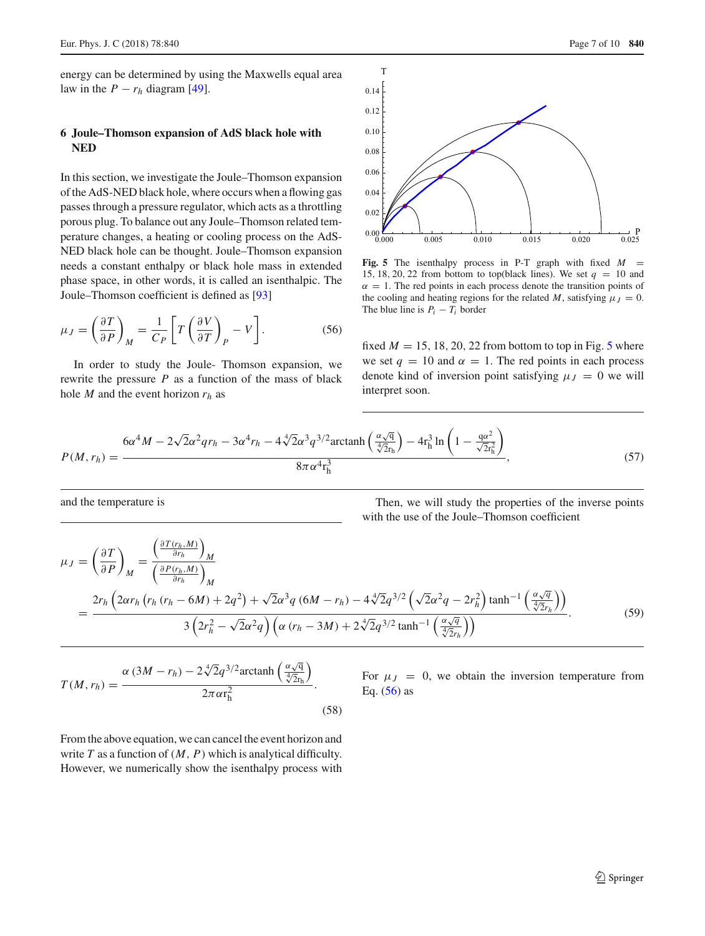energy can be determined by using the Maxwells equal area law in the  $P - r_h$  diagram [\[49](#page-9-5)].

# <span id="page-6-0"></span>**6 Joule–Thomson expansion of AdS black hole with NED**

In this section, we investigate the Joule–Thomson expansion of the AdS-NED black hole, where occurs when a flowing gas passes through a pressure regulator, which acts as a throttling porous plug. To balance out any Joule–Thomson related temperature changes, a heating or cooling process on the AdS-NED black hole can be thought. Joule–Thomson expansion needs a constant enthalpy or black hole mass in extended phase space, in other words, it is called an isenthalpic. The Joule–Thomson coefficient is defined as [\[93](#page-9-7)]

$$
\mu_J = \left(\frac{\partial T}{\partial P}\right)_M = \frac{1}{C_P} \left[ T \left(\frac{\partial V}{\partial T}\right)_P - V \right].
$$
 (56)

In order to study the Joule- Thomson expansion, we rewrite the pressure *P* as a function of the mass of black hole *M* and the event horizon *rh* as



<span id="page-6-2"></span><span id="page-6-1"></span>**Fig. 5** The isenthalpy process in P-T graph with fixed *M* = 15, 18, 20, 22 from bottom to top(black lines). We set  $q = 10$  and  $\alpha = 1$ . The red points in each process denote the transition points of the cooling and heating regions for the related *M*, satisfying  $\mu_J = 0$ . The blue line is  $P_i - T_i$  border

fixed  $M = 15, 18, 20, 22$  $M = 15, 18, 20, 22$  $M = 15, 18, 20, 22$  from bottom to top in Fig. 5 where we set  $q = 10$  and  $\alpha = 1$ . The red points in each process denote kind of inversion point satisfying  $\mu_J = 0$  we will interpret soon.

$$
P(M,r_h) = \frac{6\alpha^4 M - 2\sqrt{2}\alpha^2 q r_h - 3\alpha^4 r_h - 4\sqrt[4]{2}\alpha^3 q^{3/2} \arctanh\left(\frac{\alpha\sqrt{q}}{\sqrt[4]{2}r_h}\right) - 4r_h^3 \ln\left(1 - \frac{q\alpha^2}{\sqrt{2}r_h^2}\right)}{8\pi\alpha^4 r_h^3},
$$
(57)

and the temperature is

Then, we will study the properties of the inverse points with the use of the Joule–Thomson coefficient

$$
\mu_{J} = \left(\frac{\partial T}{\partial P}\right)_{M} = \frac{\left(\frac{\partial T(r_{h}, M)}{\partial r_{h}}\right)_{M}}{\left(\frac{\partial P(r_{h}, M)}{\partial r_{h}}\right)_{M}}
$$
\n
$$
= \frac{2r_{h}\left(2\alpha r_{h}\left(r_{h}\left(r_{h}-6M\right)+2q^{2}\right)+\sqrt{2}\alpha^{3}q\left(6M-r_{h}\right)-4\sqrt[4]{2}q^{3/2}\left(\sqrt{2}\alpha^{2}q-2r_{h}^{2}\right)\tanh^{-1}\left(\frac{\alpha\sqrt{q}}{\sqrt[4]{2}r_{h}}\right)\right)}{3\left(2r_{h}^{2}-\sqrt{2}\alpha^{2}q\right)\left(\alpha\left(r_{h}-3M\right)+2\sqrt[4]{2}q^{3/2}\tanh^{-1}\left(\frac{\alpha\sqrt{q}}{\sqrt[4]{2}r_{h}}\right)\right)}.
$$
\n(59)

$$
T(M,r_h) = \frac{\alpha (3M - r_h) - 2\sqrt[4]{2}q^{3/2}\arctanh\left(\frac{\alpha\sqrt{q}}{\sqrt[4]{2}r_h}\right)}{2\pi\alpha r_h^2}.
$$
\n(58)

For  $\mu_J = 0$ , we obtain the inversion temperature from Eq.  $(56)$  as

From the above equation, we can cancel the event horizon and write  $T$  as a function of  $(M, P)$  which is analytical difficulty. However, we numerically show the isenthalpy process with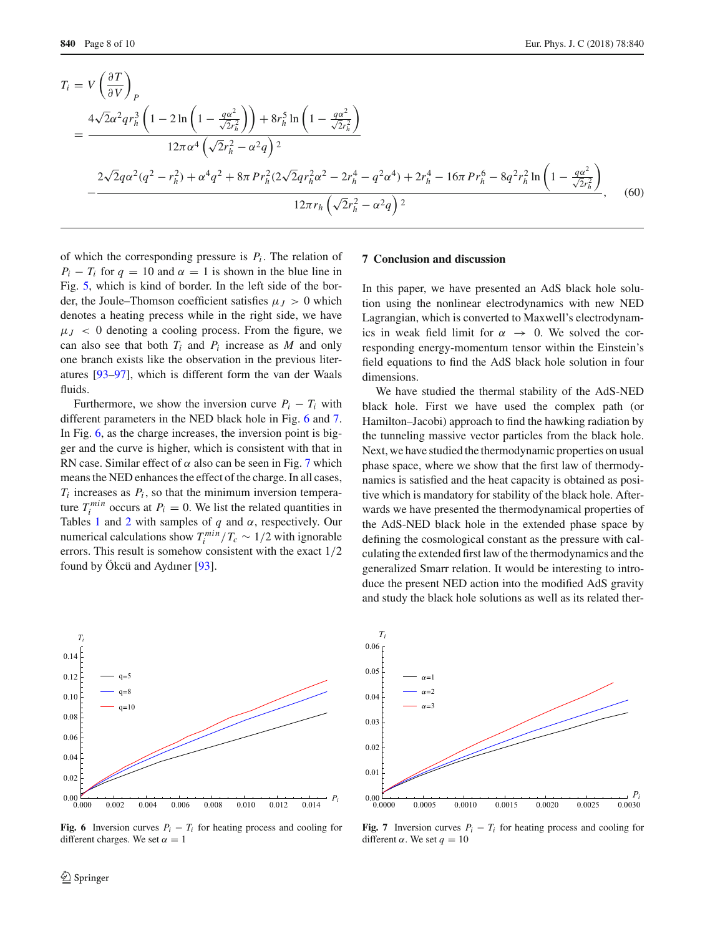$$
T_{i} = V \left(\frac{\partial T}{\partial V}\right)_{P}
$$
  
= 
$$
\frac{4\sqrt{2}\alpha^{2}qr_{h}^{3}\left(1-2\ln\left(1-\frac{qa^{2}}{\sqrt{2}r_{h}^{2}}\right)\right)+8r_{h}^{5}\ln\left(1-\frac{qa^{2}}{\sqrt{2}r_{h}^{2}}\right)}{12\pi\alpha^{4}\left(\sqrt{2}r_{h}^{2}-\alpha^{2}q\right)^{2}}
$$
  

$$
-\frac{2\sqrt{2}q\alpha^{2}(q^{2}-r_{h}^{2})+\alpha^{4}q^{2}+8\pi Pr_{h}^{2}(2\sqrt{2}qr_{h}^{2}\alpha^{2}-2r_{h}^{4}-q^{2}\alpha^{4})+2r_{h}^{4}-16\pi Pr_{h}^{6}-8q^{2}r_{h}^{2}\ln\left(1-\frac{qa^{2}}{\sqrt{2}r_{h}^{2}}\right)}{12\pi r_{h}\left(\sqrt{2}r_{h}^{2}-\alpha^{2}q\right)^{2}},
$$
 (60)

of which the corresponding pressure is  $P_i$ . The relation of  $P_i - T_i$  for  $q = 10$  and  $\alpha = 1$  is shown in the blue line in Fig. [5,](#page-6-1) which is kind of border. In the left side of the border, the Joule–Thomson coefficient satisfies  $\mu$ <sub>*I*</sub> > 0 which denotes a heating precess while in the right side, we have  $\mu$ <sub>*J*</sub> < 0 denoting a cooling process. From the figure, we can also see that both  $T_i$  and  $P_i$  increase as  $M$  and only one branch exists like the observation in the previous literatures [\[93](#page-9-7)[–97\]](#page-9-16), which is different form the van der Waals fluids.

Furthermore, we show the inversion curve  $P_i - T_i$  with different parameters in the NED black hole in Fig. [6](#page-7-1) and [7.](#page-7-2) In Fig. [6,](#page-7-1) as the charge increases, the inversion point is bigger and the curve is higher, which is consistent with that in RN case. Similar effect of  $\alpha$  also can be seen in Fig. [7](#page-7-2) which means the NED enhances the effect of the charge. In all cases,  $T_i$  increases as  $P_i$ , so that the minimum inversion temperature  $T_i^{min}$  occurs at  $P_i = 0$ . We list the related quantities in Tables [1](#page-8-17) and [2](#page-8-18) with samples of  $q$  and  $\alpha$ , respectively. Our numerical calculations show  $T_i^{min}/T_c \sim 1/2$  with ignorable errors. This result is somehow consistent with the exact 1/2 found by Ökcü and Aydıner [\[93\]](#page-9-7).

# <span id="page-7-0"></span>**7 Conclusion and discussion**

In this paper, we have presented an AdS black hole solution using the nonlinear electrodynamics with new NED Lagrangian, which is converted to Maxwell's electrodynamics in weak field limit for  $\alpha \rightarrow 0$ . We solved the corresponding energy-momentum tensor within the Einstein's field equations to find the AdS black hole solution in four dimensions.

We have studied the thermal stability of the AdS-NED black hole. First we have used the complex path (or Hamilton–Jacobi) approach to find the hawking radiation by the tunneling massive vector particles from the black hole. Next, we have studied the thermodynamic properties on usual phase space, where we show that the first law of thermodynamics is satisfied and the heat capacity is obtained as positive which is mandatory for stability of the black hole. Afterwards we have presented the thermodynamical properties of the AdS-NED black hole in the extended phase space by defining the cosmological constant as the pressure with calculating the extended first law of the thermodynamics and the generalized Smarr relation. It would be interesting to introduce the present NED action into the modified AdS gravity and study the black hole solutions as well as its related ther-



<span id="page-7-1"></span>**Fig. 6** Inversion curves  $P_i - T_i$  for heating process and cooling for different charges. We set  $\alpha = 1$ 



<span id="page-7-2"></span>**Fig. 7** Inversion curves  $P_i - T_i$  for heating process and cooling for different  $\alpha$ . We set  $q = 10$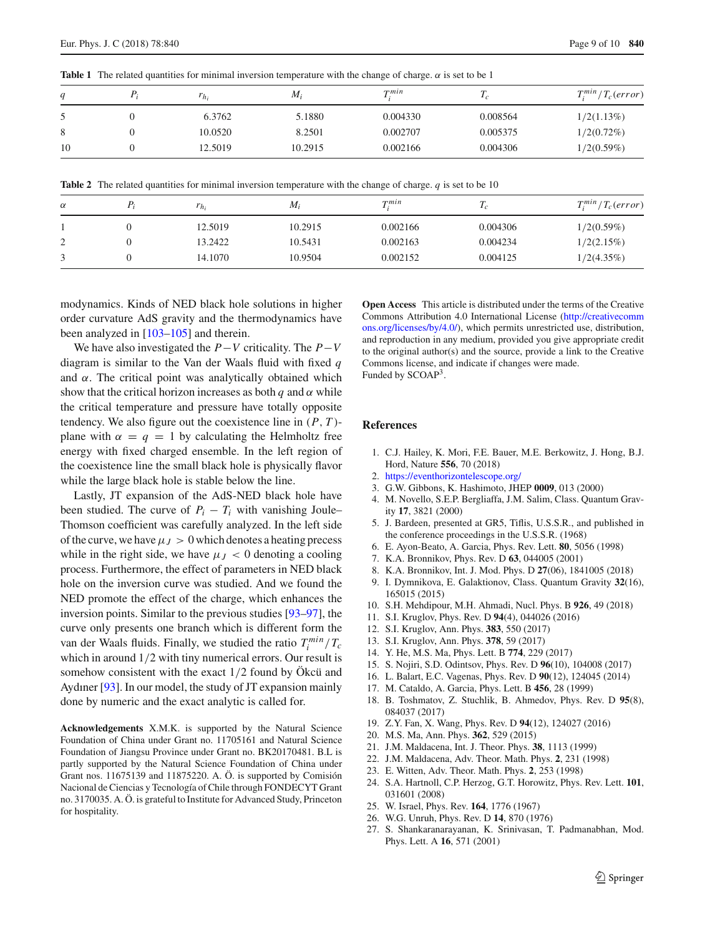<span id="page-8-17"></span>**Table 1** The related quantities for minimal inversion temperature with the change of charge.  $\alpha$  is set to be 1

| q  | $r_{h_i}$ | $M_i$   | $\boldsymbol{\tau}$ <i>min</i> | 1c       | $T_i^{min}/T_c(error)$ |
|----|-----------|---------|--------------------------------|----------|------------------------|
|    | 6.3762    | 5.1880  | 0.004330                       | 0.008564 | 1/2(1.13%)             |
| 8  | 10.0520   | 8.2501  | 0.002707                       | 0.005375 | $1/2(0.72\%)$          |
| 10 | 12.5019   | 10.2915 | 0.002166                       | 0.004306 | 1/2(0.59%)             |

**Table 2** The related quantities for minimal inversion temperature with the change of charge. *q* is set to be 10

<span id="page-8-18"></span>

| $\alpha$ | $r_{h_i}$ | $M_i$   | $T^{min}$ | $I_{\mathcal{C}}$ | $T_i^{min}/T_c(error)$ |
|----------|-----------|---------|-----------|-------------------|------------------------|
|          | 12.5019   | 10.2915 | 0.002166  | 0.004306          | 1/2(0.59%)             |
| ∠        | 13.2422   | 10.5431 | 0.002163  | 0.004234          | 1/2(2.15%)             |
|          | 14.1070   | 10.9504 | 0.002152  | 0.004125          | 1/2(4.35%)             |

modynamics. Kinds of NED black hole solutions in higher order curvature AdS gravity and the thermodynamics have been analyzed in [\[103](#page-9-17)[–105\]](#page-9-18) and therein.

We have also investigated the *P*−*V* criticality. The *P*−*V* diagram is similar to the Van der Waals fluid with fixed *q* and  $\alpha$ . The critical point was analytically obtained which show that the critical horizon increases as both *q* and  $\alpha$  while the critical temperature and pressure have totally opposite tendency. We also figure out the coexistence line in (*P*, *T* ) plane with  $\alpha = q = 1$  by calculating the Helmholtz free energy with fixed charged ensemble. In the left region of the coexistence line the small black hole is physically flavor while the large black hole is stable below the line.

Lastly, JT expansion of the AdS-NED black hole have been studied. The curve of  $P_i - T_i$  with vanishing Joule– Thomson coefficient was carefully analyzed. In the left side of the curve, we have  $\mu_J > 0$  which denotes a heating precess while in the right side, we have  $\mu_J < 0$  denoting a cooling process. Furthermore, the effect of parameters in NED black hole on the inversion curve was studied. And we found the NED promote the effect of the charge, which enhances the inversion points. Similar to the previous studies [\[93](#page-9-7)[–97\]](#page-9-16), the curve only presents one branch which is different form the van der Waals fluids. Finally, we studied the ratio  $T_i^{min}/T_c$ which in around  $1/2$  with tiny numerical errors. Our result is somehow consistent with the exact 1/2 found by Ökcü and Aydıner [\[93\]](#page-9-7). In our model, the study of JT expansion mainly done by numeric and the exact analytic is called for.

**Acknowledgements** X.M.K. is supported by the Natural Science Foundation of China under Grant no. 11705161 and Natural Science Foundation of Jiangsu Province under Grant no. BK20170481. B.L is partly supported by the Natural Science Foundation of China under Grant nos. 11675139 and 11875220. A. Ö. is supported by Comisión Nacional de Ciencias y Tecnología of Chile through FONDECYT Grant no. 3170035. A. Ö. is grateful to Institute for Advanced Study, Princeton for hospitality.

**Open Access** This article is distributed under the terms of the Creative Commons Attribution 4.0 International License [\(http://creativecomm](http://creativecommons.org/licenses/by/4.0/) [ons.org/licenses/by/4.0/\)](http://creativecommons.org/licenses/by/4.0/), which permits unrestricted use, distribution, and reproduction in any medium, provided you give appropriate credit to the original author(s) and the source, provide a link to the Creative Commons license, and indicate if changes were made. Funded by SCOAP<sup>3</sup>.

# **References**

- <span id="page-8-0"></span>1. C.J. Hailey, K. Mori, F.E. Bauer, M.E. Berkowitz, J. Hong, B.J. Hord, Nature **556**, 70 (2018)
- <span id="page-8-1"></span>2. <https://eventhorizontelescope.org/>
- <span id="page-8-2"></span>3. G.W. Gibbons, K. Hashimoto, JHEP **0009**, 013 (2000)
- <span id="page-8-3"></span>4. M. Novello, S.E.P. Bergliaffa, J.M. Salim, Class. Quantum Gravity **17**, 3821 (2000)
- <span id="page-8-4"></span>5. J. Bardeen, presented at GR5, Tiflis, U.S.S.R., and published in the conference proceedings in the U.S.S.R. (1968)
- <span id="page-8-5"></span>6. E. Ayon-Beato, A. Garcia, Phys. Rev. Lett. **80**, 5056 (1998)
- <span id="page-8-6"></span>7. K.A. Bronnikov, Phys. Rev. D **63**, 044005 (2001)
- <span id="page-8-7"></span>8. K.A. Bronnikov, Int. J. Mod. Phys. D **27**(06), 1841005 (2018)
- <span id="page-8-8"></span>9. I. Dymnikova, E. Galaktionov, Class. Quantum Gravity **32**(16), 165015 (2015)
- <span id="page-8-9"></span>10. S.H. Mehdipour, M.H. Ahmadi, Nucl. Phys. B **926**, 49 (2018)
- <span id="page-8-10"></span>11. S.I. Kruglov, Phys. Rev. D **94**(4), 044026 (2016)
- 12. S.I. Kruglov, Ann. Phys. **383**, 550 (2017)
- 13. S.I. Kruglov, Ann. Phys. **378**, 59 (2017)
- 14. Y. He, M.S. Ma, Phys. Lett. B **774**, 229 (2017)
- 15. S. Nojiri, S.D. Odintsov, Phys. Rev. D **96**(10), 104008 (2017)
- 16. L. Balart, E.C. Vagenas, Phys. Rev. D **90**(12), 124045 (2014)
- 17. M. Cataldo, A. Garcia, Phys. Lett. B **456**, 28 (1999)
- 18. B. Toshmatov, Z. Stuchlik, B. Ahmedov, Phys. Rev. D **95**(8), 084037 (2017)
- 19. Z.Y. Fan, X. Wang, Phys. Rev. D **94**(12), 124027 (2016)
- <span id="page-8-11"></span>20. M.S. Ma, Ann. Phys. **362**, 529 (2015)
- <span id="page-8-12"></span>21. J.M. Maldacena, Int. J. Theor. Phys. **38**, 1113 (1999)
- <span id="page-8-13"></span>22. J.M. Maldacena, Adv. Theor. Math. Phys. **2**, 231 (1998)
- <span id="page-8-14"></span>23. E. Witten, Adv. Theor. Math. Phys. **2**, 253 (1998)
- <span id="page-8-15"></span>24. S.A. Hartnoll, C.P. Herzog, G.T. Horowitz, Phys. Rev. Lett. **101**, 031601 (2008)
- <span id="page-8-16"></span>25. W. Israel, Phys. Rev. **164**, 1776 (1967)
- 26. W.G. Unruh, Phys. Rev. D **14**, 870 (1976)
- 27. S. Shankaranarayanan, K. Srinivasan, T. Padmanabhan, Mod. Phys. Lett. A **16**, 571 (2001)